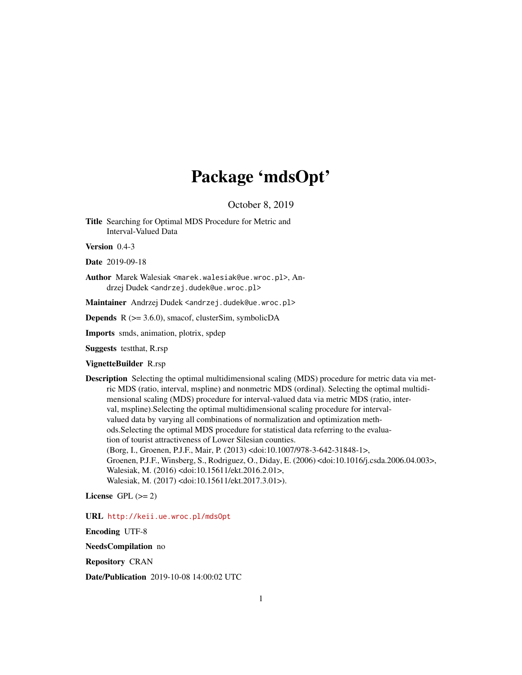# Package 'mdsOpt'

October 8, 2019

<span id="page-0-0"></span>Title Searching for Optimal MDS Procedure for Metric and Interval-Valued Data

Version 0.4-3

Date 2019-09-18

Author Marek Walesiak <marek.walesiak@ue.wroc.pl>, Andrzej Dudek <andrzej.dudek@ue.wroc.pl>

Maintainer Andrzej Dudek <andrzej.dudek@ue.wroc.pl>

Depends R (>= 3.6.0), smacof, clusterSim, symbolicDA

Imports smds, animation, plotrix, spdep

Suggests testthat, R.rsp

VignetteBuilder R.rsp

Description Selecting the optimal multidimensional scaling (MDS) procedure for metric data via metric MDS (ratio, interval, mspline) and nonmetric MDS (ordinal). Selecting the optimal multidimensional scaling (MDS) procedure for interval-valued data via metric MDS (ratio, interval, mspline).Selecting the optimal multidimensional scaling procedure for intervalvalued data by varying all combinations of normalization and optimization methods.Selecting the optimal MDS procedure for statistical data referring to the evaluation of tourist attractiveness of Lower Silesian counties. (Borg, I., Groenen, P.J.F., Mair, P. (2013) <doi:10.1007/978-3-642-31848-1>, Groenen, P.J.F., Winsberg, S., Rodriguez, O., Diday, E. (2006) <doi:10.1016/j.csda.2006.04.003>, Walesiak, M. (2016) <doi:10.15611/ekt.2016.2.01>, Walesiak, M. (2017) <doi:10.15611/ekt.2017.3.01>).

License GPL  $(>= 2)$ 

URL <http://keii.ue.wroc.pl/mdsOpt>

Encoding UTF-8

NeedsCompilation no

Repository CRAN

Date/Publication 2019-10-08 14:00:02 UTC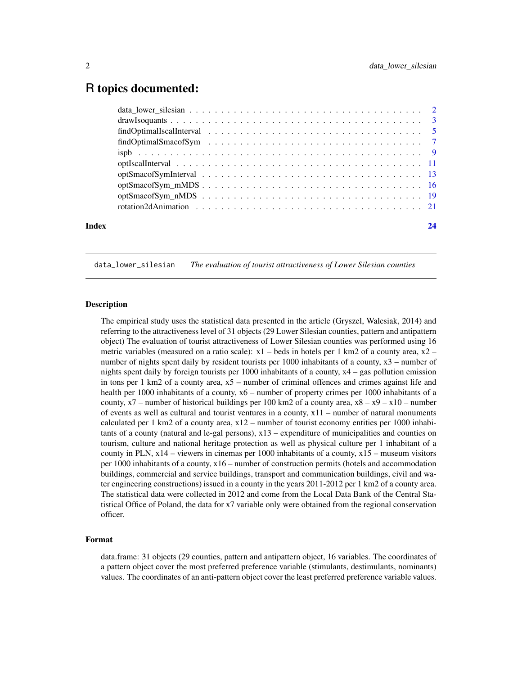# <span id="page-1-0"></span>R topics documented:

| Index |                     |  |  |  |  |  |  |  |  |  |  |  |  |  | 24 |
|-------|---------------------|--|--|--|--|--|--|--|--|--|--|--|--|--|----|
|       |                     |  |  |  |  |  |  |  |  |  |  |  |  |  |    |
|       |                     |  |  |  |  |  |  |  |  |  |  |  |  |  |    |
|       | $optSmacofSym_mMDS$ |  |  |  |  |  |  |  |  |  |  |  |  |  |    |
|       |                     |  |  |  |  |  |  |  |  |  |  |  |  |  |    |
|       |                     |  |  |  |  |  |  |  |  |  |  |  |  |  |    |
|       |                     |  |  |  |  |  |  |  |  |  |  |  |  |  |    |
|       |                     |  |  |  |  |  |  |  |  |  |  |  |  |  |    |
|       |                     |  |  |  |  |  |  |  |  |  |  |  |  |  |    |
|       |                     |  |  |  |  |  |  |  |  |  |  |  |  |  |    |
|       |                     |  |  |  |  |  |  |  |  |  |  |  |  |  |    |

data\_lower\_silesian *The evaluation of tourist attractiveness of Lower Silesian counties*

#### **Description**

The empirical study uses the statistical data presented in the article (Gryszel, Walesiak, 2014) and referring to the attractiveness level of 31 objects (29 Lower Silesian counties, pattern and antipattern object) The evaluation of tourist attractiveness of Lower Silesian counties was performed using 16 metric variables (measured on a ratio scale):  $x1 - b$ eds in hotels per 1 km2 of a county area,  $x2 - b$ number of nights spent daily by resident tourists per 1000 inhabitants of a county, x3 – number of nights spent daily by foreign tourists per 1000 inhabitants of a county, x4 – gas pollution emission in tons per 1 km2 of a county area, x5 – number of criminal offences and crimes against life and health per 1000 inhabitants of a county, x6 – number of property crimes per 1000 inhabitants of a county,  $x7$  – number of historical buildings per 100 km2 of a county area,  $x8 - x9 - x10$  – number of events as well as cultural and tourist ventures in a county,  $x11 -$  number of natural monuments calculated per 1 km2 of a county area,  $x12$  – number of tourist economy entities per 1000 inhabitants of a county (natural and le-gal persons),  $x13 -$  expenditure of municipalities and counties on tourism, culture and national heritage protection as well as physical culture per 1 inhabitant of a county in PLN,  $x14 -$  viewers in cinemas per 1000 inhabitants of a county,  $x15 -$  museum visitors per 1000 inhabitants of a county, x16 – number of construction permits (hotels and accommodation buildings, commercial and service buildings, transport and communication buildings, civil and water engineering constructions) issued in a county in the years 2011-2012 per 1 km2 of a county area. The statistical data were collected in 2012 and come from the Local Data Bank of the Central Statistical Office of Poland, the data for x7 variable only were obtained from the regional conservation officer.

#### Format

data.frame: 31 objects (29 counties, pattern and antipattern object, 16 variables. The coordinates of a pattern object cover the most preferred preference variable (stimulants, destimulants, nominants) values. The coordinates of an anti-pattern object cover the least preferred preference variable values.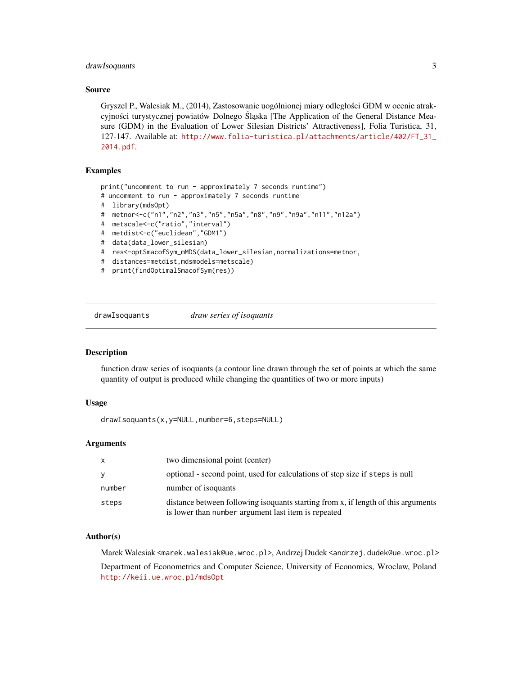# <span id="page-2-0"></span>drawIsoquants 3

#### Source

Gryszel P., Walesiak M., (2014), Zastosowanie uogólnionej miary odległosci GDM w ocenie atrak- ´ cyjności turystycznej powiatów Dolnego Śląska [The Application of the General Distance Measure (GDM) in the Evaluation of Lower Silesian Districts' Attractiveness], Folia Turistica, 31, 127-147. Available at: [http://www.folia-turistica.pl/attachments/article/402/FT\\_31\\_](http://www.folia-turistica.pl/attachments/article/402/FT_31_2014.pdf) [2014.pdf](http://www.folia-turistica.pl/attachments/article/402/FT_31_2014.pdf).

#### Examples

print("uncomment to run - approximately 7 seconds runtime")

# uncomment to run - approximately 7 seconds runtime

```
# library(mdsOpt)
```

```
# metnor<-c("n1","n2","n3","n5","n5a","n8","n9","n9a","n11","n12a")
```

```
# metscale<-c("ratio","interval")
```

```
# metdist<-c("euclidean","GDM1")
```

```
# data(data_lower_silesian)
```

```
# res<-optSmacofSym_mMDS(data_lower_silesian,normalizations=metnor,
```
- # distances=metdist,mdsmodels=metscale)
- # print(findOptimalSmacofSym(res))

drawIsoquants *draw series of isoquants*

#### **Description**

function draw series of isoquants (a contour line drawn through the set of points at which the same quantity of output is produced while changing the quantities of two or more inputs)

# Usage

drawIsoquants(x,y=NULL,number=6,steps=NULL)

# Arguments

| X      | two dimensional point (center)                                                                                                           |
|--------|------------------------------------------------------------------------------------------------------------------------------------------|
| y      | optional - second point, used for calculations of step size if steps is null                                                             |
| number | number of isoquants                                                                                                                      |
| steps  | distance between following isoquants starting from x, if length of this arguments<br>is lower than number argument last item is repeated |

# Author(s)

Marek Walesiak <marek.walesiak@ue.wroc.pl>, Andrzej Dudek <andrzej.dudek@ue.wroc.pl> Department of Econometrics and Computer Science, University of Economics, Wroclaw, Poland

<http://keii.ue.wroc.pl/mdsOpt>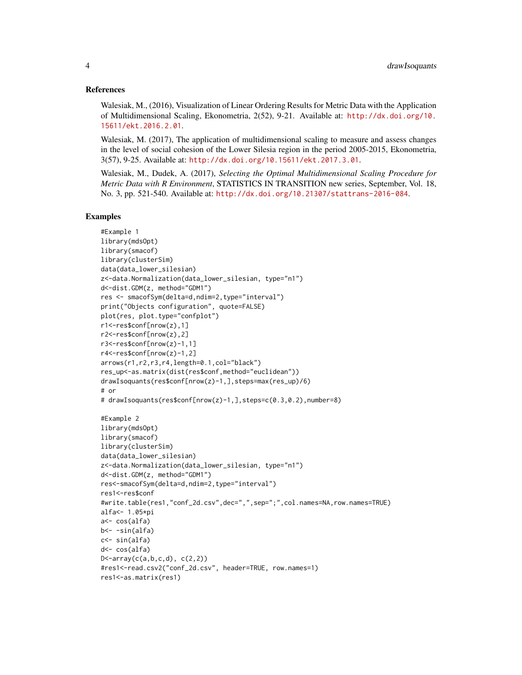#### References

Walesiak, M., (2016), Visualization of Linear Ordering Results for Metric Data with the Application of Multidimensional Scaling, Ekonometria, 2(52), 9-21. Available at: [http://dx.doi.org/10.](http://dx.doi.org/10.15611/ekt.2016.2.01) [15611/ekt.2016.2.01](http://dx.doi.org/10.15611/ekt.2016.2.01).

Walesiak, M. (2017), The application of multidimensional scaling to measure and assess changes in the level of social cohesion of the Lower Silesia region in the period 2005-2015, Ekonometria, 3(57), 9-25. Available at: <http://dx.doi.org/10.15611/ekt.2017.3.01>.

Walesiak, M., Dudek, A. (2017), *Selecting the Optimal Multidimensional Scaling Procedure for Metric Data with R Environment*, STATISTICS IN TRANSITION new series, September, Vol. 18, No. 3, pp. 521-540. Available at: <http://dx.doi.org/10.21307/stattrans-2016-084>.

#### Examples

```
#Example 1
library(mdsOpt)
library(smacof)
library(clusterSim)
data(data_lower_silesian)
z<-data.Normalization(data_lower_silesian, type="n1")
d<-dist.GDM(z, method="GDM1")
res <- smacofSym(delta=d,ndim=2,type="interval")
print("Objects configuration", quote=FALSE)
plot(res, plot.type="confplot")
r1<-res$conf[nrow(z),1]
r2<-res$conf[nrow(z),2]
r3<-res$conf[nrow(z)-1,1]
r4<-res$conf[nrow(z)-1,2]
arrows(r1,r2,r3,r4,length=0.1,col="black")
res_up<-as.matrix(dist(res$conf,method="euclidean"))
drawIsoquants(res$conf[nrow(z)-1,],steps=max(res_up)/6)
# or
# drawIsoquants(res$conf[nrow(z)-1,],steps=c(0.3,0.2),number=8)
#Example 2
library(mdsOpt)
library(smacof)
library(clusterSim)
data(data_lower_silesian)
z<-data.Normalization(data_lower_silesian, type="n1")
d<-dist.GDM(z, method="GDM1")
res<-smacofSym(delta=d,ndim=2,type="interval")
res1<-res$conf
#write.table(res1,"conf_2d.csv",dec=",",sep=";",col.names=NA,row.names=TRUE)
alfa<- 1.05*pi
a<- cos(alfa)
b<- -sin(alfa)
c<- sin(alfa)
d<- cos(alfa)
D < - array(c(a, b, c, d), c(2, 2))
#res1<-read.csv2("conf_2d.csv", header=TRUE, row.names=1)
res1<-as.matrix(res1)
```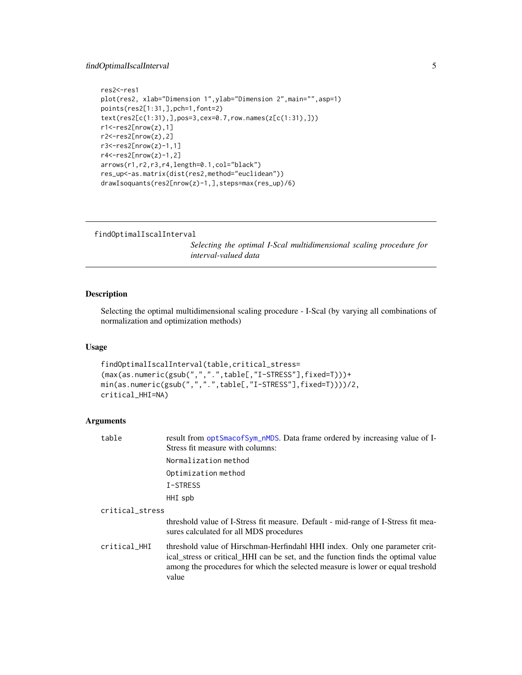# <span id="page-4-0"></span>findOptimalIscalInterval 5

```
res2<-res1
plot(res2, xlab="Dimension 1",ylab="Dimension 2",main="",asp=1)
points(res2[1:31,],pch=1,font=2)
text(res2[c(1:31),],pos=3,cex=0.7,row.names(z[c(1:31),]))
r1 <-res2[nrow(z), 1]
r2<-res2[nrow(z),2]
r3<-res2[nrow(z)-1,1]
r4<-res2[nrow(z)-1,2]
arrows(r1,r2,r3,r4,length=0.1,col="black")
res_up<-as.matrix(dist(res2,method="euclidean"))
drawIsoquants(res2[nrow(z)-1,],steps=max(res_up)/6)
```

```
findOptimalIscalInterval
```
*Selecting the optimal I-Scal multidimensional scaling procedure for interval-valued data*

# Description

Selecting the optimal multidimensional scaling procedure - I-Scal (by varying all combinations of normalization and optimization methods)

# Usage

```
findOptimalIscalInterval(table,critical_stress=
(max(as.numeric(gsub(",",".",table[,"I-STRESS"],fixed=T)))+
min(as.numeric(gsub(",",".",table[,"I-STRESS"],fixed=T))))/2,
critical_HHI=NA)
```
# Arguments

| table           | result from optSmacofSym_nMDS. Data frame ordered by increasing value of I-<br>Stress fit measure with columns:                                                                                                                                            |
|-----------------|------------------------------------------------------------------------------------------------------------------------------------------------------------------------------------------------------------------------------------------------------------|
|                 | Normalization method                                                                                                                                                                                                                                       |
|                 | Optimization method                                                                                                                                                                                                                                        |
|                 | I-STRESS                                                                                                                                                                                                                                                   |
|                 | HHI spb                                                                                                                                                                                                                                                    |
| critical_stress |                                                                                                                                                                                                                                                            |
|                 | threshold value of I-Stress fit measure. Default - mid-range of I-Stress fit mea-<br>sures calculated for all MDS procedures                                                                                                                               |
| Critical HHI    | threshold value of Hirschman-Herfindahl HHI index. Only one parameter crit-<br>ical_stress or critical_HHI can be set, and the function finds the optimal value<br>among the procedures for which the selected measure is lower or equal treshold<br>value |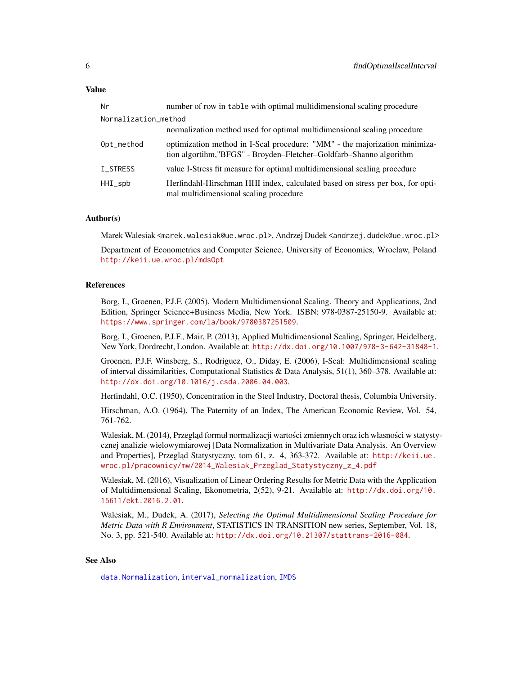<span id="page-5-0"></span>

| Nr                   | number of row in table with optimal multidimensional scaling procedure                                                                            |
|----------------------|---------------------------------------------------------------------------------------------------------------------------------------------------|
| Normalization_method |                                                                                                                                                   |
|                      | normalization method used for optimal multidimensional scaling procedure                                                                          |
| Opt_method           | optimization method in I-Scal procedure: "MM" - the majorization minimiza-<br>tion algorithm, "BFGS" - Broyden–Fletcher–Goldfarb–Shanno algorithm |
| I_STRESS             | value I-Stress fit measure for optimal multidimensional scaling procedure                                                                         |
| $HHI$ _spb           | Herfindahl-Hirschman HHI index, calculated based on stress per box, for opti-<br>mal multidimensional scaling procedure                           |

#### Author(s)

Marek Walesiak <marek.walesiak@ue.wroc.pl>, Andrzej Dudek <andrzej.dudek@ue.wroc.pl>

Department of Econometrics and Computer Science, University of Economics, Wroclaw, Poland <http://keii.ue.wroc.pl/mdsOpt>

#### References

Borg, I., Groenen, P.J.F. (2005), Modern Multidimensional Scaling. Theory and Applications, 2nd Edition, Springer Science+Business Media, New York. ISBN: 978-0387-25150-9. Available at: <https://www.springer.com/la/book/9780387251509>.

Borg, I., Groenen, P.J.F., Mair, P. (2013), Applied Multidimensional Scaling, Springer, Heidelberg, New York, Dordrecht, London. Available at: <http://dx.doi.org/10.1007/978-3-642-31848-1>.

Groenen, P.J.F. Winsberg, S., Rodriguez, O., Diday, E. (2006), I-Scal: Multidimensional scaling of interval dissimilarities, Computational Statistics & Data Analysis, 51(1), 360–378. Available at: <http://dx.doi.org/10.1016/j.csda.2006.04.003>.

Herfindahl, O.C. (1950), Concentration in the Steel Industry, Doctoral thesis, Columbia University.

Hirschman, A.O. (1964), The Paternity of an Index, The American Economic Review, Vol. 54, 761-762.

Walesiak, M. (2014), Przegląd formuł normalizacji wartości zmiennych oraz ich własności w statystycznej analizie wielowymiarowej [Data Normalization in Multivariate Data Analysis. An Overview and Properties], Przegląd Statystyczny, tom 61, z. 4, 363-372. Available at: [http://keii.ue.](http://keii.ue.wroc.pl/pracownicy/mw/2014_Walesiak_Przeglad_Statystyczny_z_4.pdf) [wroc.pl/pracownicy/mw/2014\\_Walesiak\\_Przeglad\\_Statystyczny\\_z\\_4.pdf](http://keii.ue.wroc.pl/pracownicy/mw/2014_Walesiak_Przeglad_Statystyczny_z_4.pdf)

Walesiak, M. (2016), Visualization of Linear Ordering Results for Metric Data with the Application of Multidimensional Scaling, Ekonometria, 2(52), 9-21. Available at: [http://dx.doi.org/10.](http://dx.doi.org/10.15611/ekt.2016.2.01) [15611/ekt.2016.2.01](http://dx.doi.org/10.15611/ekt.2016.2.01).

Walesiak, M., Dudek, A. (2017), *Selecting the Optimal Multidimensional Scaling Procedure for Metric Data with R Environment*, STATISTICS IN TRANSITION new series, September, Vol. 18, No. 3, pp. 521-540. Available at: <http://dx.doi.org/10.21307/stattrans-2016-084>.

## See Also

[data.Normalization](#page-0-0), [interval\\_normalization](#page-0-0), [IMDS](#page-0-0)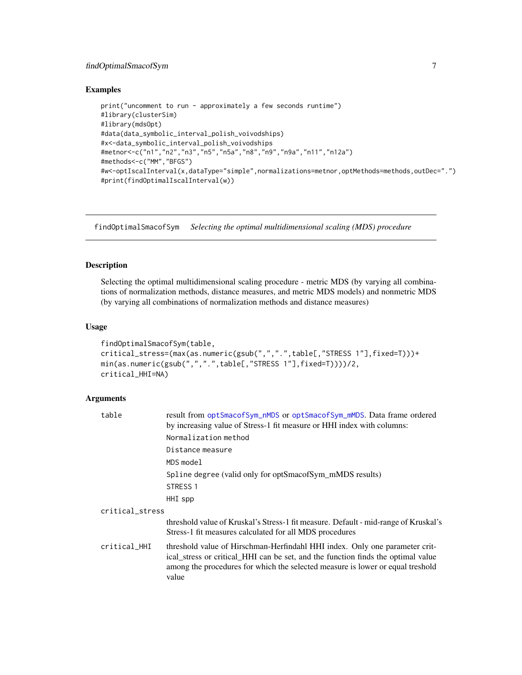# <span id="page-6-0"></span>findOptimalSmacofSym 7

#### Examples

```
print("uncomment to run - approximately a few seconds runtime")
#library(clusterSim)
#library(mdsOpt)
#data(data_symbolic_interval_polish_voivodships)
#x<-data_symbolic_interval_polish_voivodships
#metnor<-c("n1","n2","n3","n5","n5a","n8","n9","n9a","n11","n12a")
#methods<-c("MM","BFGS")
#w<-optIscalInterval(x,dataType="simple",normalizations=metnor,optMethods=methods,outDec=".")
#print(findOptimalIscalInterval(w))
```
findOptimalSmacofSym *Selecting the optimal multidimensional scaling (MDS) procedure*

## Description

Selecting the optimal multidimensional scaling procedure - metric MDS (by varying all combinations of normalization methods, distance measures, and metric MDS models) and nonmetric MDS (by varying all combinations of normalization methods and distance measures)

### Usage

```
findOptimalSmacofSym(table,
critical_stress=(max(as.numeric(gsub(",",".",table[,"STRESS 1"],fixed=T)))+
min(as.numeric(gsub(",",".",table[,"STRESS 1"],fixed=T))))/2,
critical_HHI=NA)
```
# Arguments

| table           | result from optSmacofSym_nMDS or optSmacofSym_mMDS. Data frame ordered<br>by increasing value of Stress-1 fit measure or HHI index with columns:                                                                                                           |
|-----------------|------------------------------------------------------------------------------------------------------------------------------------------------------------------------------------------------------------------------------------------------------------|
|                 | Normalization method                                                                                                                                                                                                                                       |
|                 | Distance measure                                                                                                                                                                                                                                           |
|                 | MDS model                                                                                                                                                                                                                                                  |
|                 | Spline degree (valid only for optSmacofSym_mMDS results)                                                                                                                                                                                                   |
|                 | STRESS <sub>1</sub>                                                                                                                                                                                                                                        |
|                 | HHI spp                                                                                                                                                                                                                                                    |
| critical_stress |                                                                                                                                                                                                                                                            |
|                 | threshold value of Kruskal's Stress-1 fit measure. Default - mid-range of Kruskal's<br>Stress-1 fit measures calculated for all MDS procedures                                                                                                             |
| critical_HHI    | threshold value of Hirschman-Herfindahl HHI index. Only one parameter crit-<br>ical_stress or critical_HHI can be set, and the function finds the optimal value<br>among the procedures for which the selected measure is lower or equal treshold<br>value |
|                 |                                                                                                                                                                                                                                                            |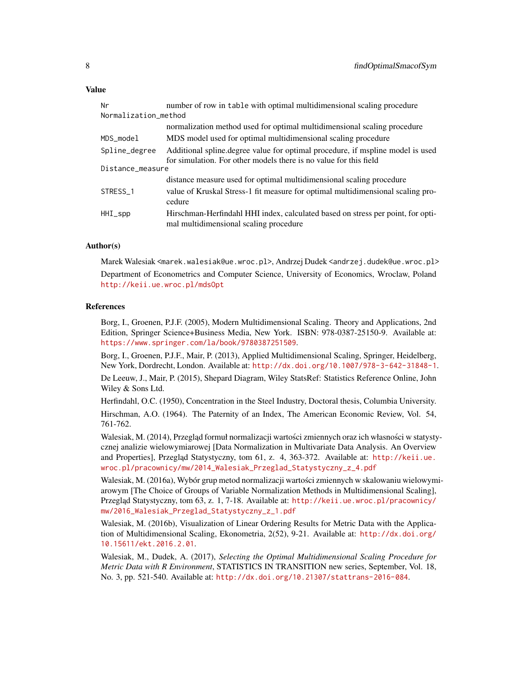#### Value

| Nr                   | number of row in table with optimal multidimensional scaling procedure                                                                               |
|----------------------|------------------------------------------------------------------------------------------------------------------------------------------------------|
| Normalization_method |                                                                                                                                                      |
|                      | normalization method used for optimal multidimensional scaling procedure                                                                             |
| MDS model            | MDS model used for optimal multidimensional scaling procedure                                                                                        |
| Spline_degree        | Additional spline. degree value for optimal procedure, if mspline model is used<br>for simulation. For other models there is no value for this field |
| Distance_measure     |                                                                                                                                                      |
|                      | distance measure used for optimal multidimensional scaling procedure                                                                                 |
| STRESS_1             | value of Kruskal Stress-1 fit measure for optimal multidimensional scaling pro-<br>cedure                                                            |
| $HHI$ _spp           | Hirschman-Herfindahl HHI index, calculated based on stress per point, for opti-<br>mal multidimensional scaling procedure                            |

# Author(s)

Marek Walesiak <marek.walesiak@ue.wroc.pl>, Andrzej Dudek <andrzej.dudek@ue.wroc.pl> Department of Econometrics and Computer Science, University of Economics, Wroclaw, Poland <http://keii.ue.wroc.pl/mdsOpt>

#### References

Borg, I., Groenen, P.J.F. (2005), Modern Multidimensional Scaling. Theory and Applications, 2nd Edition, Springer Science+Business Media, New York. ISBN: 978-0387-25150-9. Available at: <https://www.springer.com/la/book/9780387251509>.

Borg, I., Groenen, P.J.F., Mair, P. (2013), Applied Multidimensional Scaling, Springer, Heidelberg, New York, Dordrecht, London. Available at: <http://dx.doi.org/10.1007/978-3-642-31848-1>.

De Leeuw, J., Mair, P. (2015), Shepard Diagram, Wiley StatsRef: Statistics Reference Online, John Wiley & Sons Ltd.

Herfindahl, O.C. (1950), Concentration in the Steel Industry, Doctoral thesis, Columbia University.

Hirschman, A.O. (1964). The Paternity of an Index, The American Economic Review, Vol. 54, 761-762.

Walesiak, M. (2014), Przegląd formuł normalizacji wartości zmiennych oraz ich własności w statystycznej analizie wielowymiarowej [Data Normalization in Multivariate Data Analysis. An Overview and Properties], Przegląd Statystyczny, tom 61, z. 4, 363-372. Available at: [http://keii.ue.](http://keii.ue.wroc.pl/pracownicy/mw/2014_Walesiak_Przeglad_Statystyczny_z_4.pdf) [wroc.pl/pracownicy/mw/2014\\_Walesiak\\_Przeglad\\_Statystyczny\\_z\\_4.pdf](http://keii.ue.wroc.pl/pracownicy/mw/2014_Walesiak_Przeglad_Statystyczny_z_4.pdf)

Walesiak, M. (2016a), Wybór grup metod normalizacji wartosci zmiennych w skalowaniu wielowymi- ´ arowym [The Choice of Groups of Variable Normalization Methods in Multidimensional Scaling], Przegląd Statystyczny, tom 63, z. 1, 7-18. Available at: [http://keii.ue.wroc.pl/pracownicy/](http://keii.ue.wroc.pl/pracownicy/mw/2016_Walesiak_Przeglad_Statystyczny_z_1.pdf) [mw/2016\\_Walesiak\\_Przeglad\\_Statystyczny\\_z\\_1.pdf](http://keii.ue.wroc.pl/pracownicy/mw/2016_Walesiak_Przeglad_Statystyczny_z_1.pdf)

Walesiak, M. (2016b), Visualization of Linear Ordering Results for Metric Data with the Application of Multidimensional Scaling, Ekonometria, 2(52), 9-21. Available at: [http://dx.doi.org/](http://dx.doi.org/10.15611/ekt.2016.2.01) [10.15611/ekt.2016.2.01](http://dx.doi.org/10.15611/ekt.2016.2.01).

Walesiak, M., Dudek, A. (2017), *Selecting the Optimal Multidimensional Scaling Procedure for Metric Data with R Environment*, STATISTICS IN TRANSITION new series, September, Vol. 18, No. 3, pp. 521-540. Available at: <http://dx.doi.org/10.21307/stattrans-2016-084>.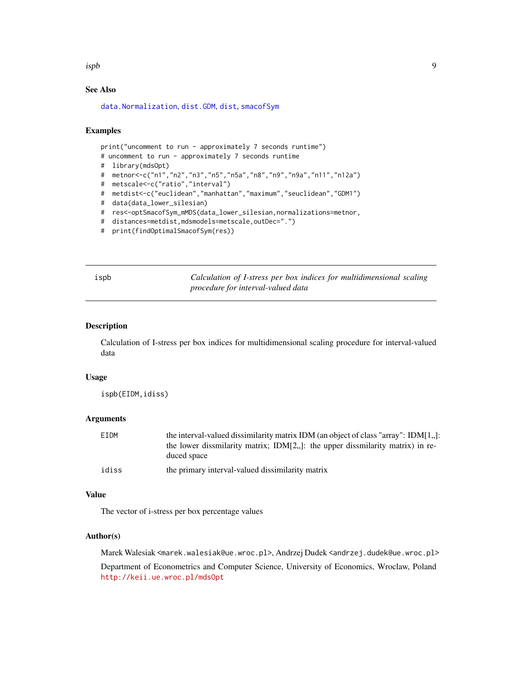<span id="page-8-0"></span>ispb 9

# See Also

[data.Normalization](#page-0-0), [dist.GDM](#page-0-0), [dist](#page-0-0), [smacofSym](#page-0-0)

# Examples

```
print("uncomment to run - approximately 7 seconds runtime")
# uncomment to run - approximately 7 seconds runtime
# library(mdsOpt)
# metnor<-c("n1","n2","n3","n5","n5a","n8","n9","n9a","n11","n12a")
# metscale<-c("ratio","interval")
# metdist<-c("euclidean","manhattan","maximum","seuclidean","GDM1")
# data(data_lower_silesian)
# res<-optSmacofSym_mMDS(data_lower_silesian,normalizations=metnor,
# distances=metdist,mdsmodels=metscale,outDec=".")
# print(findOptimalSmacofSym(res))
```
ispb *Calculation of I-stress per box indices for multidimensional scaling procedure for interval-valued data*

#### Description

Calculation of I-stress per box indices for multidimensional scaling procedure for interval-valued data

#### Usage

ispb(EIDM,idiss)

#### Arguments

| EIDM  | the interval-valued dissimilarity matrix IDM (an object of class "array": IDM $[1, ]$ :          |
|-------|--------------------------------------------------------------------------------------------------|
|       | the lower dissmilarity matrix; $IDM[2,]]$ : the upper dissmilarity matrix) in re-<br>duced space |
| idiss | the primary interval-valued dissimilarity matrix                                                 |

#### Value

The vector of i-stress per box percentage values

#### Author(s)

Marek Walesiak <marek.walesiak@ue.wroc.pl>, Andrzej Dudek <andrzej.dudek@ue.wroc.pl>

Department of Econometrics and Computer Science, University of Economics, Wroclaw, Poland <http://keii.ue.wroc.pl/mdsOpt>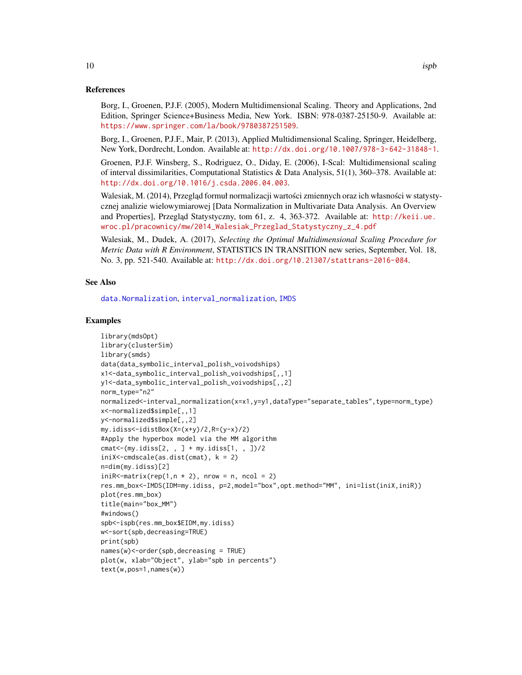#### <span id="page-9-0"></span>References

Borg, I., Groenen, P.J.F. (2005), Modern Multidimensional Scaling. Theory and Applications, 2nd Edition, Springer Science+Business Media, New York. ISBN: 978-0387-25150-9. Available at: <https://www.springer.com/la/book/9780387251509>.

Borg, I., Groenen, P.J.F., Mair, P. (2013), Applied Multidimensional Scaling, Springer, Heidelberg, New York, Dordrecht, London. Available at: <http://dx.doi.org/10.1007/978-3-642-31848-1>.

Groenen, P.J.F. Winsberg, S., Rodriguez, O., Diday, E. (2006), I-Scal: Multidimensional scaling of interval dissimilarities, Computational Statistics & Data Analysis, 51(1), 360–378. Available at: <http://dx.doi.org/10.1016/j.csda.2006.04.003>.

Walesiak, M. (2014), Przegląd formuł normalizacji wartości zmiennych oraz ich własności w statystycznej analizie wielowymiarowej [Data Normalization in Multivariate Data Analysis. An Overview and Properties], Przegląd Statystyczny, tom 61, z. 4, 363-372. Available at: [http://keii.ue.](http://keii.ue.wroc.pl/pracownicy/mw/2014_Walesiak_Przeglad_Statystyczny_z_4.pdf) [wroc.pl/pracownicy/mw/2014\\_Walesiak\\_Przeglad\\_Statystyczny\\_z\\_4.pdf](http://keii.ue.wroc.pl/pracownicy/mw/2014_Walesiak_Przeglad_Statystyczny_z_4.pdf)

Walesiak, M., Dudek, A. (2017), *Selecting the Optimal Multidimensional Scaling Procedure for Metric Data with R Environment*, STATISTICS IN TRANSITION new series, September, Vol. 18, No. 3, pp. 521-540. Available at: <http://dx.doi.org/10.21307/stattrans-2016-084>.

#### See Also

[data.Normalization](#page-0-0), [interval\\_normalization](#page-0-0), [IMDS](#page-0-0)

#### Examples

```
library(mdsOpt)
library(clusterSim)
library(smds)
data(data_symbolic_interval_polish_voivodships)
x1<-data_symbolic_interval_polish_voivodships[,,1]
y1<-data_symbolic_interval_polish_voivodships[,,2]
norm_type="n2"
normalized<-interval_normalization(x=x1,y=y1,dataType="separate_tables",type=norm_type)
x<-normalized$simple[,,1]
y<-normalized$simple[,,2]
my.idiss<-idistBox(X=(x+y)/2,R=(y-x)/2)
#Apply the hyperbox model via the MM algorithm
cmat<-(my.idiss[2, , ] + my.idiss[1, , ])/2
iniX<-cmdscale(as.dist(cmat), k = 2)
n=dim(my.idiss)[2]
inik<-\text{matrix}(rep(1,n * 2), nrow = n, ncol = 2)res.mm_box<-IMDS(IDM=my.idiss, p=2,model="box",opt.method="MM", ini=list(iniX,iniR))
plot(res.mm_box)
title(main="box_MM")
#windows()
spb<-ispb(res.mm_box$EIDM,my.idiss)
w<-sort(spb,decreasing=TRUE)
print(spb)
names(w)<-order(spb,decreasing = TRUE)
plot(w, xlab="Object", ylab="spb in percents")
text(w,pos=1,names(w))
```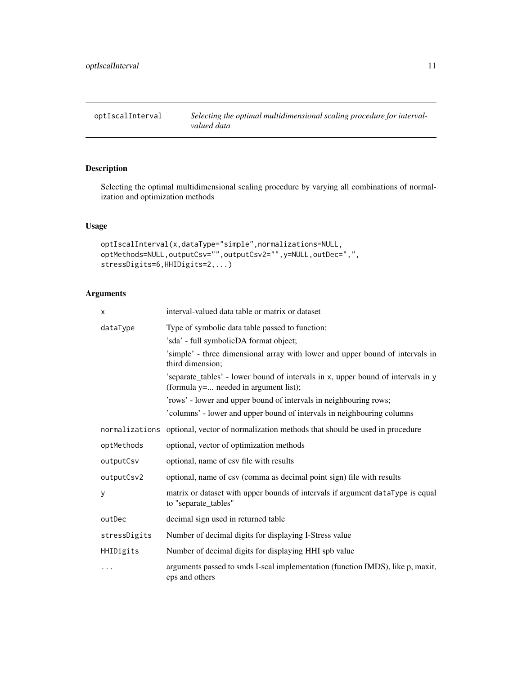<span id="page-10-0"></span>

# Description

Selecting the optimal multidimensional scaling procedure by varying all combinations of normalization and optimization methods

# Usage

```
optIscalInterval(x,dataType="simple",normalizations=NULL,
optMethods=NULL,outputCsv="",outputCsv2="",y=NULL,outDec=",",
stressDigits=6,HHIDigits=2,...)
```
# Arguments

| X              | interval-valued data table or matrix or dataset                                                                           |
|----------------|---------------------------------------------------------------------------------------------------------------------------|
| dataType       | Type of symbolic data table passed to function:                                                                           |
|                | 'sda' - full symbolicDA format object;                                                                                    |
|                | 'simple' - three dimensional array with lower and upper bound of intervals in<br>third dimension:                         |
|                | 'separate_tables' - lower bound of intervals in x, upper bound of intervals in y<br>(formula y= needed in argument list); |
|                | 'rows' - lower and upper bound of intervals in neighbouring rows;                                                         |
|                | 'columns' - lower and upper bound of intervals in neighbouring columns                                                    |
| normalizations | optional, vector of normalization methods that should be used in procedure                                                |
| optMethods     | optional, vector of optimization methods                                                                                  |
| outputCsv      | optional, name of csv file with results                                                                                   |
| outputCsv2     | optional, name of csv (comma as decimal point sign) file with results                                                     |
| У              | matrix or dataset with upper bounds of intervals if argument dataType is equal<br>to "separate_tables"                    |
| outDec         | decimal sign used in returned table                                                                                       |
| stressDigits   | Number of decimal digits for displaying I-Stress value                                                                    |
| HHIDigits      | Number of decimal digits for displaying HHI spb value                                                                     |
|                | arguments passed to smds I-scal implementation (function IMDS), like p, maxit,<br>eps and others                          |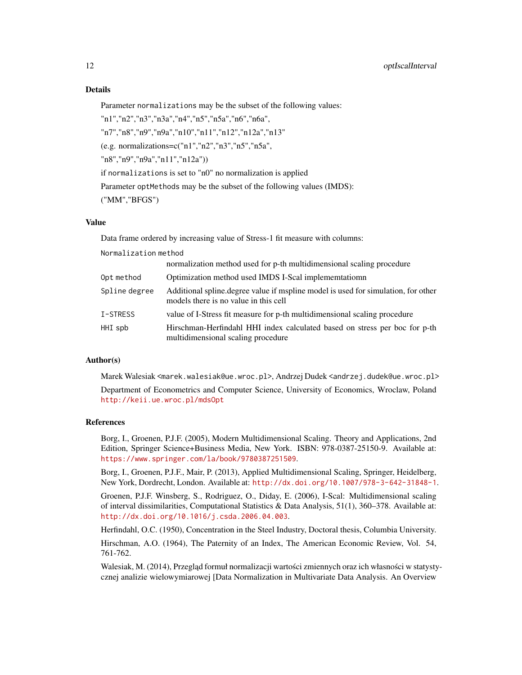Parameter normalizations may be the subset of the following values:

"n1","n2","n3","n3a","n4","n5","n5a","n6","n6a",

"n7","n8","n9","n9a","n10","n11","n12","n12a","n13"

(e.g. normalizations=c("n1","n2","n3","n5","n5a",

"n8","n9","n9a","n11","n12a"))

if normalizations is set to "n0" no normalization is applied

Parameter optMethods may be the subset of the following values (IMDS):

("MM","BFGS")

#### Value

Data frame ordered by increasing value of Stress-1 fit measure with columns:

Normalization method

|               | normalization method used for p-th multidimensional scaling procedure                                                       |
|---------------|-----------------------------------------------------------------------------------------------------------------------------|
| Opt method    | Optimization method used IMDS I-Scal implememtatiomn                                                                        |
| Spline degree | Additional spline. degree value if mspline model is used for simulation, for other<br>models there is no value in this cell |
| I-STRESS      | value of I-Stress fit measure for p-th multidimensional scaling procedure                                                   |
| HHI spb       | Hirschman-Herfindahl HHI index calculated based on stress per boc for p-th<br>multidimensional scaling procedure            |

# Author(s)

Marek Walesiak <marek.walesiak@ue.wroc.pl>, Andrzej Dudek <andrzej.dudek@ue.wroc.pl> Department of Econometrics and Computer Science, University of Economics, Wroclaw, Poland <http://keii.ue.wroc.pl/mdsOpt>

## References

Borg, I., Groenen, P.J.F. (2005), Modern Multidimensional Scaling. Theory and Applications, 2nd Edition, Springer Science+Business Media, New York. ISBN: 978-0387-25150-9. Available at: <https://www.springer.com/la/book/9780387251509>.

Borg, I., Groenen, P.J.F., Mair, P. (2013), Applied Multidimensional Scaling, Springer, Heidelberg, New York, Dordrecht, London. Available at: <http://dx.doi.org/10.1007/978-3-642-31848-1>.

Groenen, P.J.F. Winsberg, S., Rodriguez, O., Diday, E. (2006), I-Scal: Multidimensional scaling of interval dissimilarities, Computational Statistics & Data Analysis, 51(1), 360–378. Available at: <http://dx.doi.org/10.1016/j.csda.2006.04.003>.

Herfindahl, O.C. (1950), Concentration in the Steel Industry, Doctoral thesis, Columbia University.

Hirschman, A.O. (1964), The Paternity of an Index, The American Economic Review, Vol. 54, 761-762.

Walesiak, M. (2014), Przegląd formuł normalizacji wartości zmiennych oraz ich własności w statystycznej analizie wielowymiarowej [Data Normalization in Multivariate Data Analysis. An Overview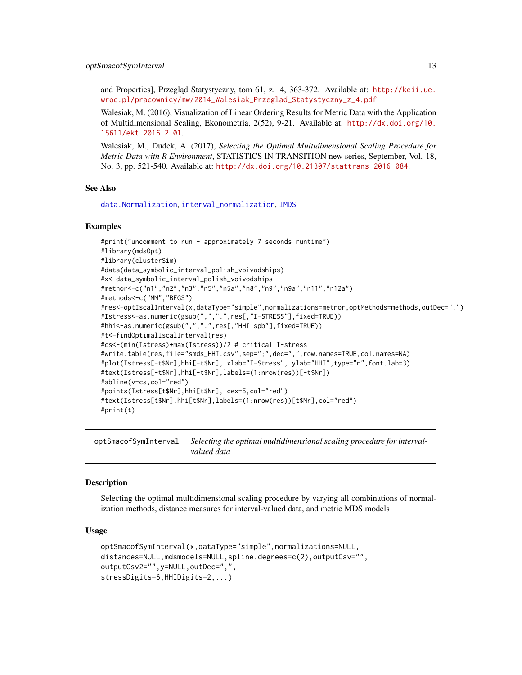#### <span id="page-12-0"></span>optSmacofSymInterval 13

and Properties], Przegląd Statystyczny, tom 61, z. 4, 363-372. Available at: [http://keii.ue.](http://keii.ue.wroc.pl/pracownicy/mw/2014_Walesiak_Przeglad_Statystyczny_z_4.pdf) [wroc.pl/pracownicy/mw/2014\\_Walesiak\\_Przeglad\\_Statystyczny\\_z\\_4.pdf](http://keii.ue.wroc.pl/pracownicy/mw/2014_Walesiak_Przeglad_Statystyczny_z_4.pdf)

Walesiak, M. (2016), Visualization of Linear Ordering Results for Metric Data with the Application of Multidimensional Scaling, Ekonometria, 2(52), 9-21. Available at: [http://dx.doi.org/10.](http://dx.doi.org/10.15611/ekt.2016.2.01) [15611/ekt.2016.2.01](http://dx.doi.org/10.15611/ekt.2016.2.01).

Walesiak, M., Dudek, A. (2017), *Selecting the Optimal Multidimensional Scaling Procedure for Metric Data with R Environment*, STATISTICS IN TRANSITION new series, September, Vol. 18, No. 3, pp. 521-540. Available at: <http://dx.doi.org/10.21307/stattrans-2016-084>.

# See Also

[data.Normalization](#page-0-0), [interval\\_normalization](#page-0-0), [IMDS](#page-0-0)

#### Examples

```
#print("uncomment to run - approximately 7 seconds runtime")
#library(mdsOpt)
#library(clusterSim)
#data(data_symbolic_interval_polish_voivodships)
#x<-data_symbolic_interval_polish_voivodships
#metnor<-c("n1","n2","n3","n5","n5a","n8","n9","n9a","n11","n12a")
#methods<-c("MM","BFGS")
#res<-optIscalInterval(x,dataType="simple",normalizations=metnor,optMethods=methods,outDec=".")
#Istress<-as.numeric(gsub(",",".",res[,"I-STRESS"],fixed=TRUE))
#hhi<-as.numeric(gsub(",",".",res[,"HHI spb"],fixed=TRUE))
#t<-findOptimalIscalInterval(res)
#cs<-(min(Istress)+max(Istress))/2 # critical I-stress
#write.table(res,file="smds_HHI.csv",sep=";",dec=",",row.names=TRUE,col.names=NA)
#plot(Istress[-t$Nr],hhi[-t$Nr], xlab="I-Stress", ylab="HHI",type="n",font.lab=3)
#text(Istress[-t$Nr],hhi[-t$Nr],labels=(1:nrow(res))[-t$Nr])
#abline(v=cs,col="red")
#points(Istress[t$Nr],hhi[t$Nr], cex=5,col="red")
#text(Istress[t$Nr],hhi[t$Nr],labels=(1:nrow(res))[t$Nr],col="red")
#print(t)
```
optSmacofSymInterval *Selecting the optimal multidimensional scaling procedure for intervalvalued data*

#### Description

Selecting the optimal multidimensional scaling procedure by varying all combinations of normalization methods, distance measures for interval-valued data, and metric MDS models

#### Usage

```
optSmacofSymInterval(x,dataType="simple",normalizations=NULL,
distances=NULL,mdsmodels=NULL,spline.degrees=c(2),outputCsv="",
outputCsv2="",y=NULL,outDec=",",
stressDigits=6,HHIDigits=2,...)
```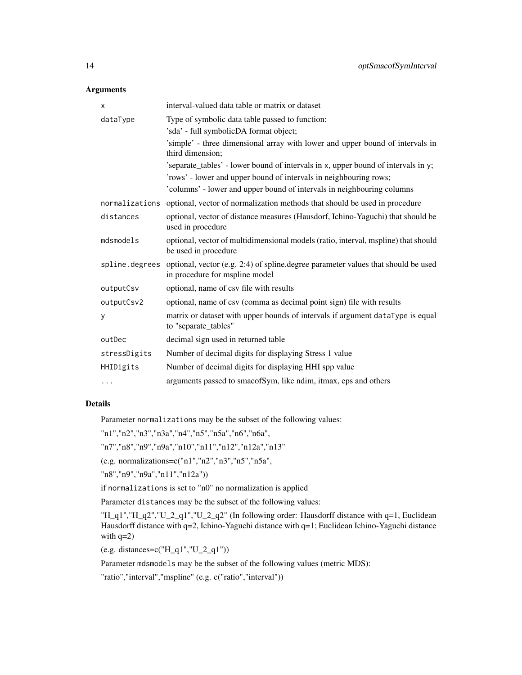# Arguments

| X              | interval-valued data table or matrix or dataset                                                                     |
|----------------|---------------------------------------------------------------------------------------------------------------------|
| dataType       | Type of symbolic data table passed to function:                                                                     |
|                | 'sda' - full symbolicDA format object;                                                                              |
|                | 'simple' - three dimensional array with lower and upper bound of intervals in<br>third dimension;                   |
|                | 'separate_tables' - lower bound of intervals in x, upper bound of intervals in y;                                   |
|                | 'rows' - lower and upper bound of intervals in neighbouring rows;                                                   |
|                | 'columns' - lower and upper bound of intervals in neighbouring columns                                              |
| normalizations | optional, vector of normalization methods that should be used in procedure                                          |
| distances      | optional, vector of distance measures (Hausdorf, Ichino-Yaguchi) that should be<br>used in procedure                |
| mdsmodels      | optional, vector of multidimensional models (ratio, interval, mspline) that should<br>be used in procedure          |
| spline.degrees | optional, vector (e.g. 2:4) of spline.degree parameter values that should be used<br>in procedure for mspline model |
| outputCsv      | optional, name of csv file with results                                                                             |
| outputCsv2     | optional, name of csv (comma as decimal point sign) file with results                                               |
| y              | matrix or dataset with upper bounds of intervals if argument dataType is equal<br>to "separate_tables"              |
| outDec         | decimal sign used in returned table                                                                                 |
| stressDigits   | Number of decimal digits for displaying Stress 1 value                                                              |
| HHIDigits      | Number of decimal digits for displaying HHI spp value                                                               |
| $\cdots$       | arguments passed to smacofSym, like ndim, itmax, eps and others                                                     |

# Details

Parameter normalizations may be the subset of the following values:

"n1","n2","n3","n3a","n4","n5","n5a","n6","n6a",

"n7","n8","n9","n9a","n10","n11","n12","n12a","n13"

(e.g. normalizations=c("n1","n2","n3","n5","n5a",

"n8","n9","n9a","n11","n12a"))

if normalizations is set to "n0" no normalization is applied

Parameter distances may be the subset of the following values:

"H\_q1","H\_q2","U\_2\_q1","U\_2\_q2" (In following order: Hausdorff distance with q=1, Euclidean Hausdorff distance with q=2, Ichino-Yaguchi distance with q=1; Euclidean Ichino-Yaguchi distance with  $q=2$ )

(e.g. distances=c("H\_q1","U\_2\_q1"))

Parameter mdsmodels may be the subset of the following values (metric MDS):

"ratio","interval","mspline" (e.g. c("ratio","interval"))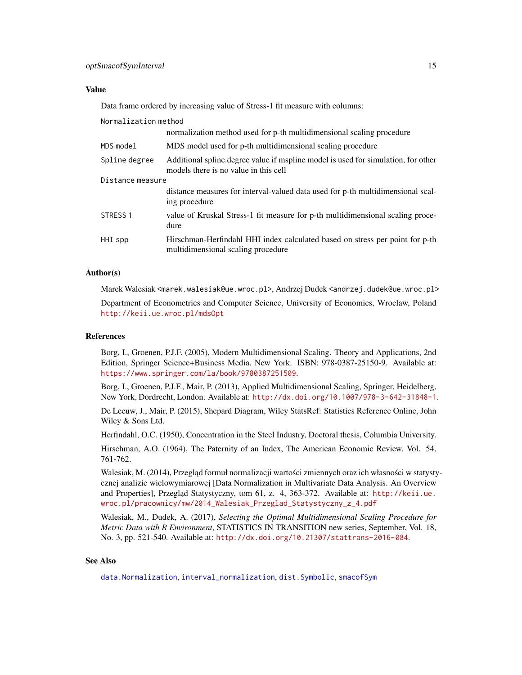## <span id="page-14-0"></span>Value

Data frame ordered by increasing value of Stress-1 fit measure with columns:

| Normalization method |                                                                                                                             |
|----------------------|-----------------------------------------------------------------------------------------------------------------------------|
|                      | normalization method used for p-th multidimensional scaling procedure                                                       |
| MDS model            | MDS model used for p-th multidimensional scaling procedure                                                                  |
| Spline degree        | Additional spline. degree value if mspline model is used for simulation, for other<br>models there is no value in this cell |
| Distance measure     |                                                                                                                             |
|                      | distance measures for interval-valued data used for p-th multidimensional scal-<br>ing procedure                            |
| STRESS <sub>1</sub>  | value of Kruskal Stress-1 fit measure for p-th multidimensional scaling proce-<br>dure                                      |
| HHI spp              | Hirschman-Herfindahl HHI index calculated based on stress per point for p-th<br>multidimensional scaling procedure          |

#### Author(s)

Marek Walesiak <marek.walesiak@ue.wroc.pl>, Andrzej Dudek <andrzej.dudek@ue.wroc.pl>

Department of Econometrics and Computer Science, University of Economics, Wroclaw, Poland <http://keii.ue.wroc.pl/mdsOpt>

#### References

Borg, I., Groenen, P.J.F. (2005), Modern Multidimensional Scaling. Theory and Applications, 2nd Edition, Springer Science+Business Media, New York. ISBN: 978-0387-25150-9. Available at: <https://www.springer.com/la/book/9780387251509>.

Borg, I., Groenen, P.J.F., Mair, P. (2013), Applied Multidimensional Scaling, Springer, Heidelberg, New York, Dordrecht, London. Available at: <http://dx.doi.org/10.1007/978-3-642-31848-1>.

De Leeuw, J., Mair, P. (2015), Shepard Diagram, Wiley StatsRef: Statistics Reference Online, John Wiley & Sons Ltd.

Herfindahl, O.C. (1950), Concentration in the Steel Industry, Doctoral thesis, Columbia University.

Hirschman, A.O. (1964), The Paternity of an Index, The American Economic Review, Vol. 54, 761-762.

Walesiak, M. (2014), Przegląd formuł normalizacji wartości zmiennych oraz ich własności w statystycznej analizie wielowymiarowej [Data Normalization in Multivariate Data Analysis. An Overview and Properties], Przegląd Statystyczny, tom 61, z. 4, 363-372. Available at: [http://keii.ue.](http://keii.ue.wroc.pl/pracownicy/mw/2014_Walesiak_Przeglad_Statystyczny_z_4.pdf) [wroc.pl/pracownicy/mw/2014\\_Walesiak\\_Przeglad\\_Statystyczny\\_z\\_4.pdf](http://keii.ue.wroc.pl/pracownicy/mw/2014_Walesiak_Przeglad_Statystyczny_z_4.pdf)

Walesiak, M., Dudek, A. (2017), *Selecting the Optimal Multidimensional Scaling Procedure for Metric Data with R Environment*, STATISTICS IN TRANSITION new series, September, Vol. 18, No. 3, pp. 521-540. Available at: <http://dx.doi.org/10.21307/stattrans-2016-084>.

#### See Also

[data.Normalization](#page-0-0), [interval\\_normalization](#page-0-0), [dist.Symbolic](#page-0-0), [smacofSym](#page-0-0)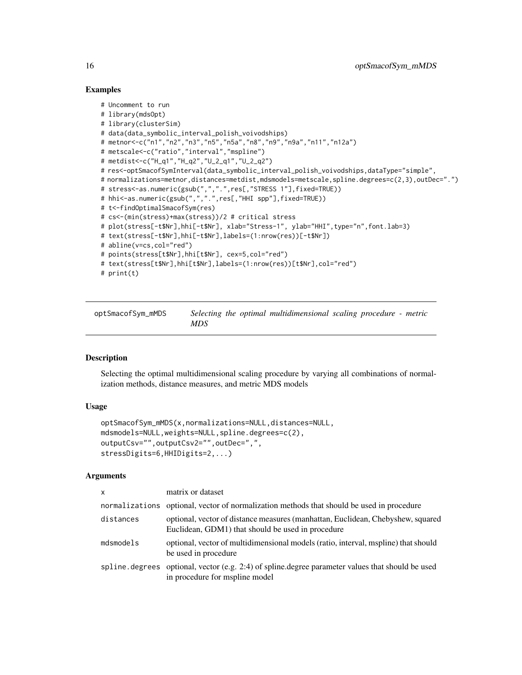### Examples

```
# Uncomment to run
# library(mdsOpt)
# library(clusterSim)
# data(data_symbolic_interval_polish_voivodships)
# metnor<-c("n1","n2","n3","n5","n5a","n8","n9","n9a","n11","n12a")
# metscale<-c("ratio","interval","mspline")
# metdist<-c("H_q1","H_q2","U_2_q1","U_2_q2")
# res<-optSmacofSymInterval(data_symbolic_interval_polish_voivodships,dataType="simple",
# normalizations=metnor,distances=metdist,mdsmodels=metscale,spline.degrees=c(2,3),outDec=".")
# stress<-as.numeric(gsub(",",".",res[,"STRESS 1"],fixed=TRUE))
# hhi<-as.numeric(gsub(",",".",res[,"HHI spp"],fixed=TRUE))
# t<-findOptimalSmacofSym(res)
# cs<-(min(stress)+max(stress))/2 # critical stress
# plot(stress[-t$Nr],hhi[-t$Nr], xlab="Stress-1", ylab="HHI",type="n",font.lab=3)
# text(stress[-t$Nr],hhi[-t$Nr],labels=(1:nrow(res))[-t$Nr])
# abline(v=cs,col="red")
# points(stress[t$Nr],hhi[t$Nr], cex=5,col="red")
# text(stress[t$Nr],hhi[t$Nr],labels=(1:nrow(res))[t$Nr],col="red")
# print(t)
```
<span id="page-15-1"></span>optSmacofSym\_mMDS *Selecting the optimal multidimensional scaling procedure - metric MDS*

# **Description**

Selecting the optimal multidimensional scaling procedure by varying all combinations of normalization methods, distance measures, and metric MDS models

#### Usage

```
optSmacofSym_mMDS(x,normalizations=NULL,distances=NULL,
mdsmodels=NULL,weights=NULL,spline.degrees=c(2),
outputCsv="",outputCsv2="",outDec=",",
stressDigits=6,HHIDigits=2,...)
```
#### Arguments

| X            | matrix or dataset                                                                                                                    |
|--------------|--------------------------------------------------------------------------------------------------------------------------------------|
|              | normalizations optional, vector of normalization methods that should be used in procedure                                            |
| distances    | optional, vector of distance measures (manhattan, Euclidean, Chebyshew, squared<br>Euclidean, GDM1) that should be used in procedure |
| $mds$ models | optional, vector of multidimensional models (ratio, interval, mspline) that should<br>be used in procedure                           |
|              | spline. degrees optional, vector (e.g. 2:4) of spline. degree parameter values that should be used<br>in procedure for mspline model |

<span id="page-15-0"></span>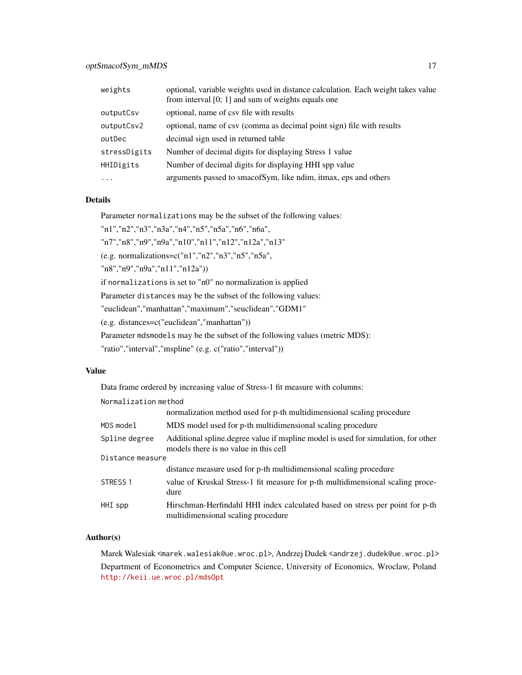| weights      | optional, variable weights used in distance calculation. Each weight takes value<br>from interval $[0; 1]$ and sum of weights equals one |
|--------------|------------------------------------------------------------------------------------------------------------------------------------------|
| outputCsv    | optional, name of csy file with results                                                                                                  |
| outputCsv2   | optional, name of csy (comma as decimal point sign) file with results                                                                    |
| outDec       | decimal sign used in returned table                                                                                                      |
| stressDigits | Number of decimal digits for displaying Stress 1 value                                                                                   |
| HHIDigits    | Number of decimal digits for displaying HHI spp value                                                                                    |
| $\ddotsc$    | arguments passed to smacofSym, like ndim, itmax, eps and others                                                                          |

#### Details

Parameter normalizations may be the subset of the following values:

"n1","n2","n3","n3a","n4","n5","n5a","n6","n6a",

"n7","n8","n9","n9a","n10","n11","n12","n12a","n13"

(e.g. normalizations=c("n1","n2","n3","n5","n5a",

"n8","n9","n9a","n11","n12a"))

Normalization method

if normalizations is set to "n0" no normalization is applied

Parameter distances may be the subset of the following values:

"euclidean","manhattan","maximum","seuclidean","GDM1"

(e.g. distances=c("euclidean","manhattan"))

Parameter mdsmodels may be the subset of the following values (metric MDS):

"ratio","interval","mspline" (e.g. c("ratio","interval"))

#### Value

Data frame ordered by increasing value of Stress-1 fit measure with columns:

|                  | normalization method used for p-th multidimensional scaling procedure                                                       |  |
|------------------|-----------------------------------------------------------------------------------------------------------------------------|--|
| MDS model        | MDS model used for p-th multidimensional scaling procedure                                                                  |  |
| Spline degree    | Additional spline. degree value if mspline model is used for simulation, for other<br>models there is no value in this cell |  |
| Distance measure |                                                                                                                             |  |
|                  | distance measure used for p-th multidimensional scaling procedure                                                           |  |
| STRESS 1         | value of Kruskal Stress-1 fit measure for p-th multidimensional scaling proce-<br>dure                                      |  |
| HHI spp          | Hirschman-Herfindahl HHI index calculated based on stress per point for p-th<br>multidimensional scaling procedure          |  |
|                  |                                                                                                                             |  |

# Author(s)

Marek Walesiak <marek.walesiak@ue.wroc.pl>, Andrzej Dudek <andrzej.dudek@ue.wroc.pl> Department of Econometrics and Computer Science, University of Economics, Wroclaw, Poland <http://keii.ue.wroc.pl/mdsOpt>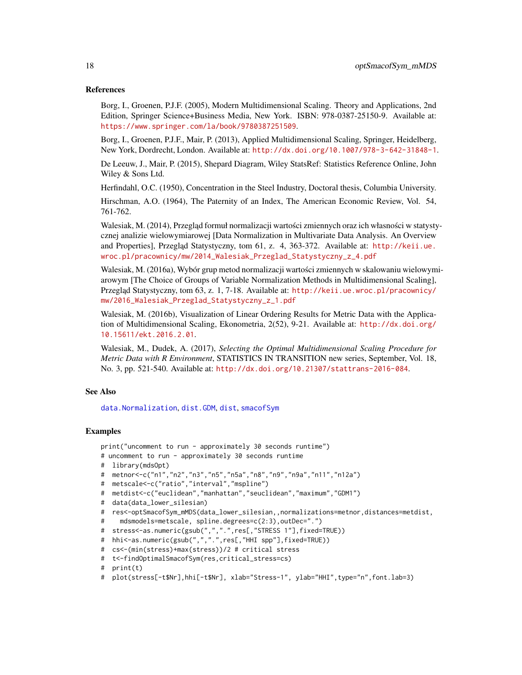#### <span id="page-17-0"></span>References

Borg, I., Groenen, P.J.F. (2005), Modern Multidimensional Scaling. Theory and Applications, 2nd Edition, Springer Science+Business Media, New York. ISBN: 978-0387-25150-9. Available at: <https://www.springer.com/la/book/9780387251509>.

Borg, I., Groenen, P.J.F., Mair, P. (2013), Applied Multidimensional Scaling, Springer, Heidelberg, New York, Dordrecht, London. Available at: <http://dx.doi.org/10.1007/978-3-642-31848-1>.

De Leeuw, J., Mair, P. (2015), Shepard Diagram, Wiley StatsRef: Statistics Reference Online, John Wiley & Sons Ltd.

Herfindahl, O.C. (1950), Concentration in the Steel Industry, Doctoral thesis, Columbia University.

Hirschman, A.O. (1964), The Paternity of an Index, The American Economic Review, Vol. 54, 761-762.

Walesiak, M. (2014), Przegląd formuł normalizacji wartości zmiennych oraz ich własności w statystycznej analizie wielowymiarowej [Data Normalization in Multivariate Data Analysis. An Overview and Properties], Przegląd Statystyczny, tom 61, z. 4, 363-372. Available at: [http://keii.ue.](http://keii.ue.wroc.pl/pracownicy/mw/2014_Walesiak_Przeglad_Statystyczny_z_4.pdf) [wroc.pl/pracownicy/mw/2014\\_Walesiak\\_Przeglad\\_Statystyczny\\_z\\_4.pdf](http://keii.ue.wroc.pl/pracownicy/mw/2014_Walesiak_Przeglad_Statystyczny_z_4.pdf)

Walesiak, M. (2016a), Wybór grup metod normalizacji wartosci zmiennych w skalowaniu wielowymi- ´ arowym [The Choice of Groups of Variable Normalization Methods in Multidimensional Scaling], Przegląd Statystyczny, tom 63, z. 1, 7-18. Available at: [http://keii.ue.wroc.pl/pracownicy/](http://keii.ue.wroc.pl/pracownicy/mw/2016_Walesiak_Przeglad_Statystyczny_z_1.pdf) [mw/2016\\_Walesiak\\_Przeglad\\_Statystyczny\\_z\\_1.pdf](http://keii.ue.wroc.pl/pracownicy/mw/2016_Walesiak_Przeglad_Statystyczny_z_1.pdf)

Walesiak, M. (2016b), Visualization of Linear Ordering Results for Metric Data with the Application of Multidimensional Scaling, Ekonometria, 2(52), 9-21. Available at: [http://dx.doi.org/](http://dx.doi.org/10.15611/ekt.2016.2.01) [10.15611/ekt.2016.2.01](http://dx.doi.org/10.15611/ekt.2016.2.01).

Walesiak, M., Dudek, A. (2017), *Selecting the Optimal Multidimensional Scaling Procedure for Metric Data with R Environment*, STATISTICS IN TRANSITION new series, September, Vol. 18, No. 3, pp. 521-540. Available at: <http://dx.doi.org/10.21307/stattrans-2016-084>.

#### See Also

[data.Normalization](#page-0-0), [dist.GDM](#page-0-0), [dist](#page-0-0), [smacofSym](#page-0-0)

#### Examples

```
print("uncomment to run - approximately 30 seconds runtime")
```
# uncomment to run - approximately 30 seconds runtime

```
# library(mdsOpt)
```

```
# metnor<-c("n1","n2","n3","n5","n5a","n8","n9","n9a","n11","n12a")
```

```
# metscale<-c("ratio","interval","mspline")
```

```
# metdist<-c("euclidean","manhattan","seuclidean","maximum","GDM1")
```

```
# data(data_lower_silesian)
```

```
# res<-optSmacofSym_mMDS(data_lower_silesian,,normalizations=metnor,distances=metdist,
```
# mdsmodels=metscale, spline.degrees=c(2:3),outDec=".")

```
# stress<-as.numeric(gsub(",",".",res[,"STRESS 1"],fixed=TRUE))
```

```
# hhi<-as.numeric(gsub(",",".",res[,"HHI spp"],fixed=TRUE))
```

```
# cs<-(min(stress)+max(stress))/2 # critical stress
```

```
# t<-findOptimalSmacofSym(res,critical_stress=cs)
```

```
# print(t)
```

```
# plot(stress[-t$Nr],hhi[-t$Nr], xlab="Stress-1", ylab="HHI",type="n",font.lab=3)
```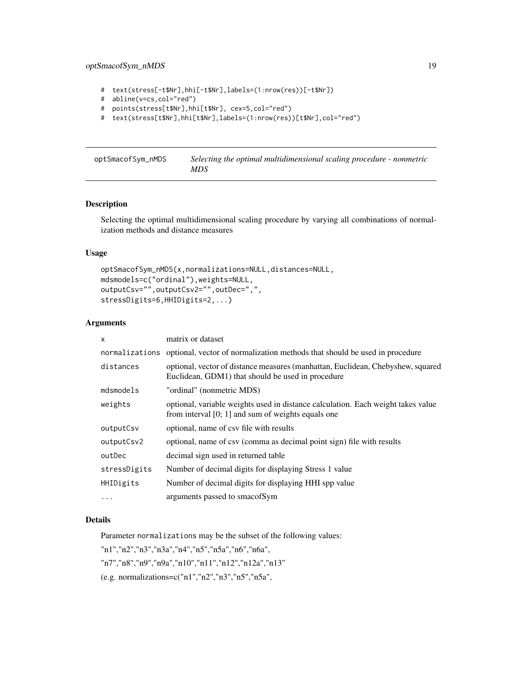# <span id="page-18-0"></span>optSmacofSym\_nMDS 19

```
# text(stress[-t$Nr],hhi[-t$Nr],labels=(1:nrow(res))[-t$Nr])
```

```
# abline(v=cs,col="red")
```

```
# points(stress[t$Nr],hhi[t$Nr], cex=5,col="red")
```
# text(stress[t\$Nr],hhi[t\$Nr],labels=(1:nrow(res))[t\$Nr],col="red")

<span id="page-18-1"></span>optSmacofSym\_nMDS *Selecting the optimal multidimensional scaling procedure - nonmetric MDS*

# Description

Selecting the optimal multidimensional scaling procedure by varying all combinations of normalization methods and distance measures

# Usage

```
optSmacofSym_nMDS(x,normalizations=NULL,distances=NULL,
mdsmodels=c("ordinal"),weights=NULL,
outputCsv="",outputCsv2="",outDec=",",
stressDigits=6,HHIDigits=2,...)
```
# Arguments

| $\mathsf{x}$ | matrix or dataset                                                                                                                        |
|--------------|------------------------------------------------------------------------------------------------------------------------------------------|
|              | normalizations optional, vector of normalization methods that should be used in procedure                                                |
| distances    | optional, vector of distance measures (manhattan, Euclidean, Chebyshew, squared<br>Euclidean, GDM1) that should be used in procedure     |
| mdsmodels    | "ordinal" (nonmetric MDS)                                                                                                                |
| weights      | optional, variable weights used in distance calculation. Each weight takes value<br>from interval $[0; 1]$ and sum of weights equals one |
| outputCsv    | optional, name of csy file with results                                                                                                  |
| outputCsv2   | optional, name of csv (comma as decimal point sign) file with results                                                                    |
| outDec       | decimal sign used in returned table                                                                                                      |
| stressDigits | Number of decimal digits for displaying Stress 1 value                                                                                   |
| HHIDigits    | Number of decimal digits for displaying HHI spp value                                                                                    |
| .            | arguments passed to smacofSym                                                                                                            |

# Details

Parameter normalizations may be the subset of the following values:

"n1","n2","n3","n3a","n4","n5","n5a","n6","n6a",

"n7","n8","n9","n9a","n10","n11","n12","n12a","n13"

(e.g. normalizations=c("n1","n2","n3","n5","n5a",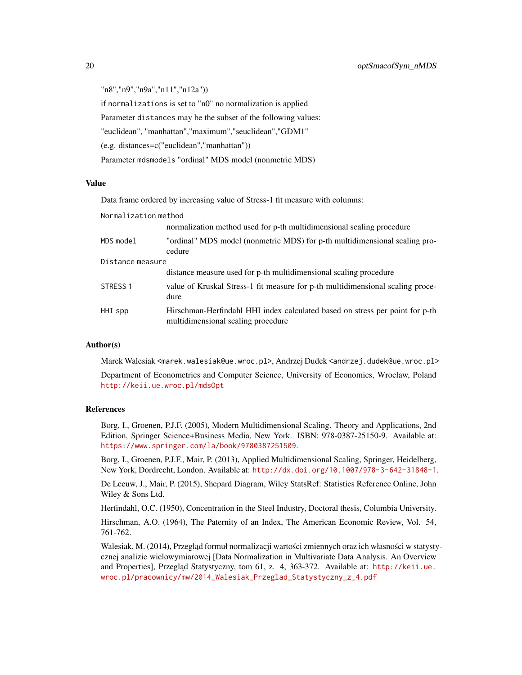"n8","n9","n9a","n11","n12a")) if normalizations is set to "n0" no normalization is applied Parameter distances may be the subset of the following values: "euclidean", "manhattan","maximum","seuclidean","GDM1" (e.g. distances=c("euclidean","manhattan")) Parameter mdsmodels "ordinal" MDS model (nonmetric MDS)

# Value

Data frame ordered by increasing value of Stress-1 fit measure with columns:

| Normalization method |                                                                                                                    |  |
|----------------------|--------------------------------------------------------------------------------------------------------------------|--|
|                      | normalization method used for p-th multidimensional scaling procedure                                              |  |
| MDS model            | "ordinal" MDS model (nonmetric MDS) for p-th multidimensional scaling pro-<br>cedure                               |  |
| Distance measure     |                                                                                                                    |  |
|                      | distance measure used for p-th multidimensional scaling procedure                                                  |  |
| STRESS 1             | value of Kruskal Stress-1 fit measure for p-th multidimensional scaling proce-<br>dure                             |  |
| HHI spp              | Hirschman-Herfindahl HHI index calculated based on stress per point for p-th<br>multidimensional scaling procedure |  |

# Author(s)

Marek Walesiak <marek.walesiak@ue.wroc.pl>, Andrzej Dudek <andrzej.dudek@ue.wroc.pl>

Department of Econometrics and Computer Science, University of Economics, Wroclaw, Poland <http://keii.ue.wroc.pl/mdsOpt>

#### References

Borg, I., Groenen, P.J.F. (2005), Modern Multidimensional Scaling. Theory and Applications, 2nd Edition, Springer Science+Business Media, New York. ISBN: 978-0387-25150-9. Available at: <https://www.springer.com/la/book/9780387251509>.

Borg, I., Groenen, P.J.F., Mair, P. (2013), Applied Multidimensional Scaling, Springer, Heidelberg, New York, Dordrecht, London. Available at: <http://dx.doi.org/10.1007/978-3-642-31848-1>.

De Leeuw, J., Mair, P. (2015), Shepard Diagram, Wiley StatsRef: Statistics Reference Online, John Wiley & Sons Ltd.

Herfindahl, O.C. (1950), Concentration in the Steel Industry, Doctoral thesis, Columbia University.

Hirschman, A.O. (1964), The Paternity of an Index, The American Economic Review, Vol. 54, 761-762.

Walesiak, M. (2014), Przeglad formuł normalizacji wartości zmiennych oraz ich własności w statystycznej analizie wielowymiarowej [Data Normalization in Multivariate Data Analysis. An Overview and Properties], Przegląd Statystyczny, tom 61, z. 4, 363-372. Available at: [http://keii.ue.](http://keii.ue.wroc.pl/pracownicy/mw/2014_Walesiak_Przeglad_Statystyczny_z_4.pdf) [wroc.pl/pracownicy/mw/2014\\_Walesiak\\_Przeglad\\_Statystyczny\\_z\\_4.pdf](http://keii.ue.wroc.pl/pracownicy/mw/2014_Walesiak_Przeglad_Statystyczny_z_4.pdf)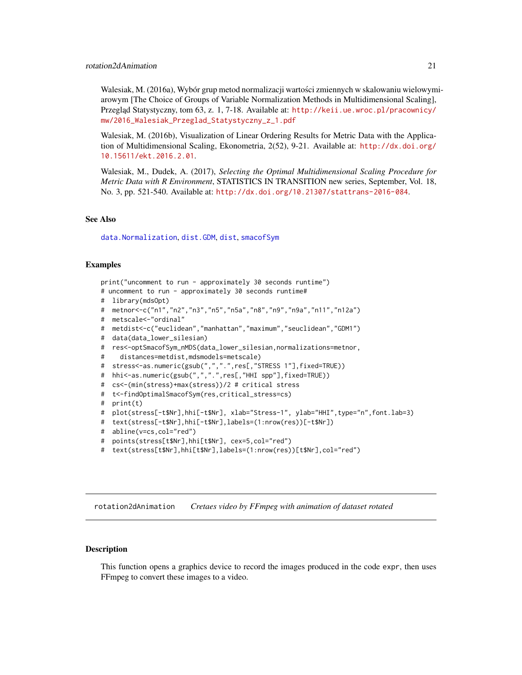<span id="page-20-0"></span>Walesiak, M. (2016a), Wybór grup metod normalizacji wartosci zmiennych w skalowaniu wielowymi- ´ arowym [The Choice of Groups of Variable Normalization Methods in Multidimensional Scaling], Przeglad Statystyczny, tom 63, z. 1, 7-18. Available at: [http://keii.ue.wroc.pl/pracownicy/](http://keii.ue.wroc.pl/pracownicy/mw/2016_Walesiak_Przeglad_Statystyczny_z_1.pdf) [mw/2016\\_Walesiak\\_Przeglad\\_Statystyczny\\_z\\_1.pdf](http://keii.ue.wroc.pl/pracownicy/mw/2016_Walesiak_Przeglad_Statystyczny_z_1.pdf)

Walesiak, M. (2016b), Visualization of Linear Ordering Results for Metric Data with the Application of Multidimensional Scaling, Ekonometria, 2(52), 9-21. Available at: [http://dx.doi.org/](http://dx.doi.org/10.15611/ekt.2016.2.01) [10.15611/ekt.2016.2.01](http://dx.doi.org/10.15611/ekt.2016.2.01).

Walesiak, M., Dudek, A. (2017), *Selecting the Optimal Multidimensional Scaling Procedure for Metric Data with R Environment*, STATISTICS IN TRANSITION new series, September, Vol. 18, No. 3, pp. 521-540. Available at: <http://dx.doi.org/10.21307/stattrans-2016-084>.

# See Also

[data.Normalization](#page-0-0), [dist.GDM](#page-0-0), [dist](#page-0-0), [smacofSym](#page-0-0)

#### Examples

```
print("uncomment to run - approximately 30 seconds runtime")
# uncomment to run - approximately 30 seconds runtime#
# library(mdsOpt)
# metnor<-c("n1","n2","n3","n5","n5a","n8","n9","n9a","n11","n12a")
# metscale<-"ordinal"
# metdist<-c("euclidean","manhattan","maximum","seuclidean","GDM1")
# data(data_lower_silesian)
# res<-optSmacofSym_nMDS(data_lower_silesian,normalizations=metnor,
# distances=metdist,mdsmodels=metscale)
# stress<-as.numeric(gsub(",",".",res[,"STRESS 1"],fixed=TRUE))
# hhi<-as.numeric(gsub(",",".",res[,"HHI spp"],fixed=TRUE))
# cs<-(min(stress)+max(stress))/2 # critical stress
# t<-findOptimalSmacofSym(res,critical_stress=cs)
# print(t)
# plot(stress[-t$Nr],hhi[-t$Nr], xlab="Stress-1", ylab="HHI",type="n",font.lab=3)
# text(stress[-t$Nr],hhi[-t$Nr],labels=(1:nrow(res))[-t$Nr])
# abline(v=cs,col="red")
# points(stress[t$Nr],hhi[t$Nr], cex=5,col="red")
# text(stress[t$Nr],hhi[t$Nr],labels=(1:nrow(res))[t$Nr],col="red")
```
rotation2dAnimation *Cretaes video by FFmpeg with animation of dataset rotated*

## Description

This function opens a graphics device to record the images produced in the code expr, then uses FFmpeg to convert these images to a video.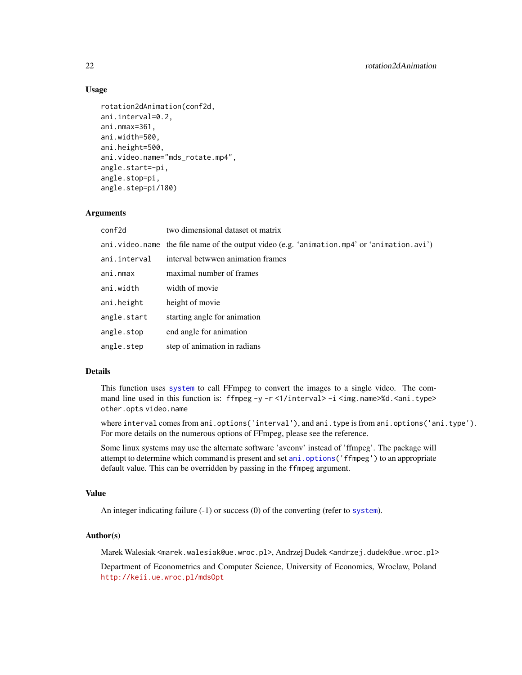# <span id="page-21-0"></span>Usage

```
rotation2dAnimation(conf2d,
ani.interval=0.2,
ani.nmax=361,
ani.width=500,
ani.height=500,
ani.video.name="mds_rotate.mp4",
angle.start=-pi,
angle.stop=pi,
angle.step=pi/180)
```
#### Arguments

| conf2d       | two dimensional dataset ot matrix                                                          |
|--------------|--------------------------------------------------------------------------------------------|
|              | ani.video.name the file name of the output video (e.g. 'animation.mp4' or 'animation.avi') |
| ani.interval | interval betwwen animation frames                                                          |
| ani.nmax     | maximal number of frames                                                                   |
| ani.width    | width of movie                                                                             |
| ani.height   | height of movie                                                                            |
| angle.start  | starting angle for animation                                                               |
| angle.stop   | end angle for animation                                                                    |
| angle.step   | step of animation in radians                                                               |

#### Details

This function uses [system](#page-0-0) to call FFmpeg to convert the images to a single video. The command line used in this function is: ffmpeg -y -r <1/interval> -i <img.name>%d.<ani.type> other.opts video.name

where interval comes from ani.options('interval'), and ani.type is from ani.options('ani.type'). For more details on the numerous options of FFmpeg, please see the reference.

Some linux systems may use the alternate software 'avconv' instead of 'ffmpeg'. The package will attempt to determine which command is present and set ani.options ('ffmpeg') to an appropriate default value. This can be overridden by passing in the ffmpeg argument.

# Value

An integer indicating failure (-1) or success (0) of the converting (refer to [system](#page-0-0)).

#### Author(s)

Marek Walesiak <marek.walesiak@ue.wroc.pl>, Andrzej Dudek <andrzej.dudek@ue.wroc.pl>

Department of Econometrics and Computer Science, University of Economics, Wroclaw, Poland <http://keii.ue.wroc.pl/mdsOpt>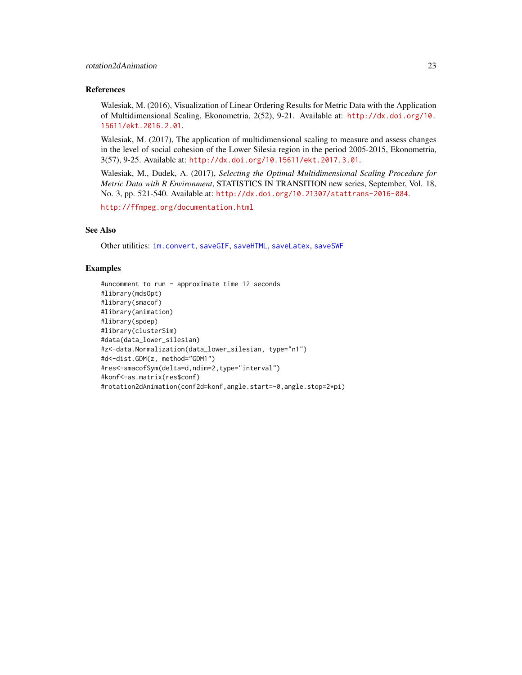#### <span id="page-22-0"></span>References

Walesiak, M. (2016), Visualization of Linear Ordering Results for Metric Data with the Application of Multidimensional Scaling, Ekonometria, 2(52), 9-21. Available at: [http://dx.doi.org/10.](http://dx.doi.org/10.15611/ekt.2016.2.01) [15611/ekt.2016.2.01](http://dx.doi.org/10.15611/ekt.2016.2.01).

Walesiak, M. (2017), The application of multidimensional scaling to measure and assess changes in the level of social cohesion of the Lower Silesia region in the period 2005-2015, Ekonometria, 3(57), 9-25. Available at: <http://dx.doi.org/10.15611/ekt.2017.3.01>.

Walesiak, M., Dudek, A. (2017), *Selecting the Optimal Multidimensional Scaling Procedure for Metric Data with R Environment*, STATISTICS IN TRANSITION new series, September, Vol. 18, No. 3, pp. 521-540. Available at: <http://dx.doi.org/10.21307/stattrans-2016-084>.

<http://ffmpeg.org/documentation.html>

#### See Also

Other utilities: [im.convert](#page-0-0), [saveGIF](#page-0-0), [saveHTML](#page-0-0), [saveLatex](#page-0-0), [saveSWF](#page-0-0)

#### Examples

#uncomment to run - approximate time 12 seconds #library(mdsOpt) #library(smacof) #library(animation) #library(spdep) #library(clusterSim) #data(data\_lower\_silesian) #z<-data.Normalization(data\_lower\_silesian, type="n1") #d<-dist.GDM(z, method="GDM1") #res<-smacofSym(delta=d,ndim=2,type="interval") #konf<-as.matrix(res\$conf) #rotation2dAnimation(conf2d=konf,angle.start=-0,angle.stop=2\*pi)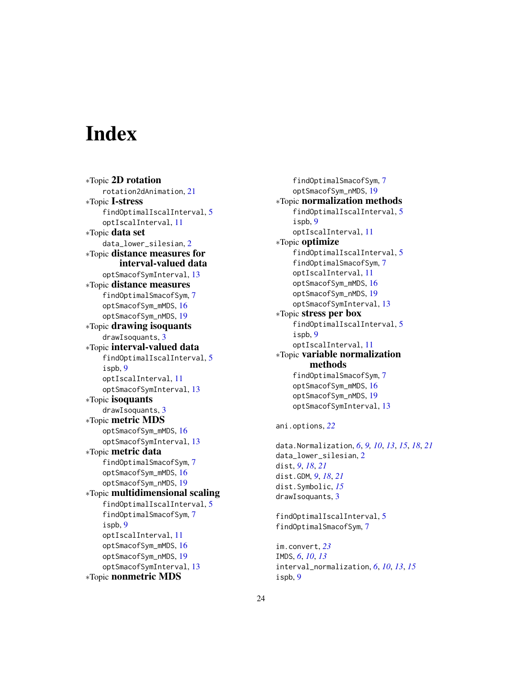# <span id="page-23-0"></span>**Index**

∗Topic 2D rotation rotation2dAnimation, [21](#page-20-0) ∗Topic I-stress findOptimalIscalInterval, [5](#page-4-0) optIscalInterval, [11](#page-10-0) ∗Topic data set data\_lower\_silesian, [2](#page-1-0) ∗Topic distance measures for interval-valued data optSmacofSymInterval, [13](#page-12-0) ∗Topic distance measures findOptimalSmacofSym, [7](#page-6-0) optSmacofSym\_mMDS, [16](#page-15-0) optSmacofSym\_nMDS, [19](#page-18-0) ∗Topic drawing isoquants drawIsoquants, [3](#page-2-0) ∗Topic interval-valued data findOptimalIscalInterval, [5](#page-4-0) ispb, [9](#page-8-0) optIscalInterval, [11](#page-10-0) optSmacofSymInterval, [13](#page-12-0) ∗Topic isoquants drawIsoquants, [3](#page-2-0) ∗Topic metric MDS optSmacofSym\_mMDS, [16](#page-15-0) optSmacofSymInterval, [13](#page-12-0) ∗Topic metric data findOptimalSmacofSym, [7](#page-6-0) optSmacofSym\_mMDS, [16](#page-15-0) optSmacofSym\_nMDS, [19](#page-18-0) ∗Topic multidimensional scaling findOptimalIscalInterval, [5](#page-4-0) findOptimalSmacofSym, [7](#page-6-0) ispb, [9](#page-8-0) optIscalInterval, [11](#page-10-0) optSmacofSym\_mMDS, [16](#page-15-0) optSmacofSym\_nMDS, [19](#page-18-0) optSmacofSymInterval, [13](#page-12-0) ∗Topic nonmetric MDS

```
findOptimalSmacofSym, 7
    optSmacofSym_nMDS, 19
∗Topic normalization methods
    findOptimalIscalInterval, 5
    ispb, 9
    optIscalInterval, 11
∗Topic optimize
    findOptimalIscalInterval, 5
    findOptimalSmacofSym, 7
    optIscalInterval, 11
    optSmacofSym_mMDS, 16
    optSmacofSym_nMDS, 19
    optSmacofSymInterval, 13
∗Topic stress per box
    findOptimalIscalInterval, 5
    ispb, 9
    optIscalInterval, 11
∗Topic variable normalization
        methods
    findOptimalSmacofSym, 7
    optSmacofSym_mMDS, 16
    optSmacofSym_nMDS, 19
    optSmacofSymInterval, 13
ani.options, 22
data.Normalization, 6, 9, 10, 13, 15, 18, 21
data_lower_silesian, 2
dist, 9, 18, 21
dist.GDM, 9, 18, 21
dist.Symbolic, 15
drawIsoquants, 3
findOptimalIscalInterval, 5
findOptimalSmacofSym, 7
im.convert, 23
```

```
IMDS, 6, 10, 13
interval_normalization, 6, 10, 13, 15
ispb, 9
```